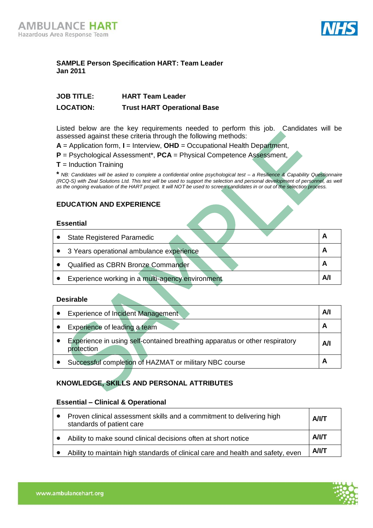

## **SAMPLE Person Specification HART: Team Leader Jan 2011**

| <b>JOB TITLE:</b> | <b>HART Team Leader</b>            |
|-------------------|------------------------------------|
| <b>LOCATION:</b>  | <b>Trust HART Operational Base</b> |

Listed below are the key requirements needed to perform this job. Candidates will be assessed against these criteria through the following methods:

**A** = Application form, **I** = Interview, **OHD** = Occupational Health Department,

- **P** = Psychological Assessment\*, **PCA** = Physical Competence Assessment,
- **T** = Induction Training

**\*** *NB: Candidates will be asked to complete a confidential online psychological test – a Resilience & Capability Questionnaire (RCQ-S) with Zeal Solutions Ltd. This test will be used to support the selection and personal development of personnel, as well as the ongoing evaluation of the HART project. It will NOT be used to screen candidates in or out of the selection process.*

## **EDUCATION AND EXPERIENCE**

#### **Essential**

| <b>State Registered Paramedic</b>                | A  |
|--------------------------------------------------|----|
| • 3 Years operational ambulance experience       | A  |
| Qualified as CBRN Bronze Commander               | A  |
| Experience working in a multi-agency environment | Αl |

#### **Desirable**

| Experience of Incident Management                                                         | Αll |
|-------------------------------------------------------------------------------------------|-----|
| Experience of leading a team                                                              | A   |
| Experience in using self-contained breathing apparatus or other respiratory<br>protection | A/I |
| Successful completion of HAZMAT or military NBC course                                    | A   |

# **KNOWLEDGE, SKILLS AND PERSONAL ATTRIBUTES**

#### **Essential – Clinical & Operational**

| Proven clinical assessment skills and a commitment to delivering high<br>standards of patient care | <b>A/I/T</b> |
|----------------------------------------------------------------------------------------------------|--------------|
| Ability to make sound clinical decisions often at short notice                                     | <b>A/I/T</b> |
| Ability to maintain high standards of clinical care and health and safety, even                    | A/IT         |

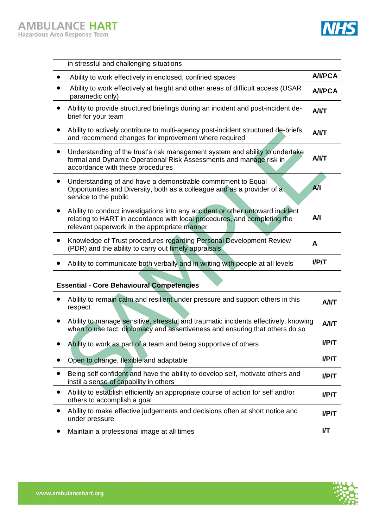

| in stressful and challenging situations                                                                                                                                                                                 |                |
|-------------------------------------------------------------------------------------------------------------------------------------------------------------------------------------------------------------------------|----------------|
| Ability to work effectively in enclosed, confined spaces                                                                                                                                                                | <b>A/I/PCA</b> |
| Ability to work effectively at height and other areas of difficult access (USAR<br>paramedic only)                                                                                                                      | <b>A/I/PCA</b> |
| Ability to provide structured briefings during an incident and post-incident de-<br>brief for your team                                                                                                                 | <b>A/I/T</b>   |
| Ability to actively contribute to multi-agency post-incident structured de-briefs<br>and recommend changes for improvement where required                                                                               | <b>A/I/T</b>   |
| Understanding of the trust's risk management system and ability to undertake<br>$\bullet$<br>formal and Dynamic Operational Risk Assessments and manage risk in<br>accordance with these procedures                     | <b>A/I/T</b>   |
| Understanding of and have a demonstrable commitment to Equal<br>Opportunities and Diversity, both as a colleague and as a provider of a<br>service to the public                                                        | A              |
| Ability to conduct investigations into any accident or other untoward incident<br>$\bullet$<br>relating to HART in accordance with local procedures, and completing the<br>relevant paperwork in the appropriate manner | Αll            |
| Knowledge of Trust procedures regarding Personal Development Review<br>(PDR) and the ability to carry out timely appraisals                                                                                             | A              |
| Ability to communicate both verbally and in writing with people at all levels                                                                                                                                           | <b>I/P/T</b>   |

# **Essential - Core Behavioural Competencies**

| Ability to remain calm and resilient under pressure and support others in this<br>respect                                                                           | <b>A/I/T</b> |
|---------------------------------------------------------------------------------------------------------------------------------------------------------------------|--------------|
| Ability to manage sensitive, stressful and traumatic incidents effectively, knowing<br>when to use tact, diplomacy and assertiveness and ensuring that others do so | A/IT         |
| Ability to work as part of a team and being supportive of others                                                                                                    | $I$ /P $\pi$ |
| Open to change, flexible and adaptable                                                                                                                              | $I$ /P/T     |
| Being self confident and have the ability to develop self, motivate others and<br>instil a sense of capability in others                                            | <b>I/P/T</b> |
| Ability to establish efficiently an appropriate course of action for self and/or<br>others to accomplish a goal                                                     | $I$ /P $\pi$ |
| Ability to make effective judgements and decisions often at short notice and<br>under pressure                                                                      | $I$ /P $\pi$ |
| Maintain a professional image at all times                                                                                                                          | IЛ           |